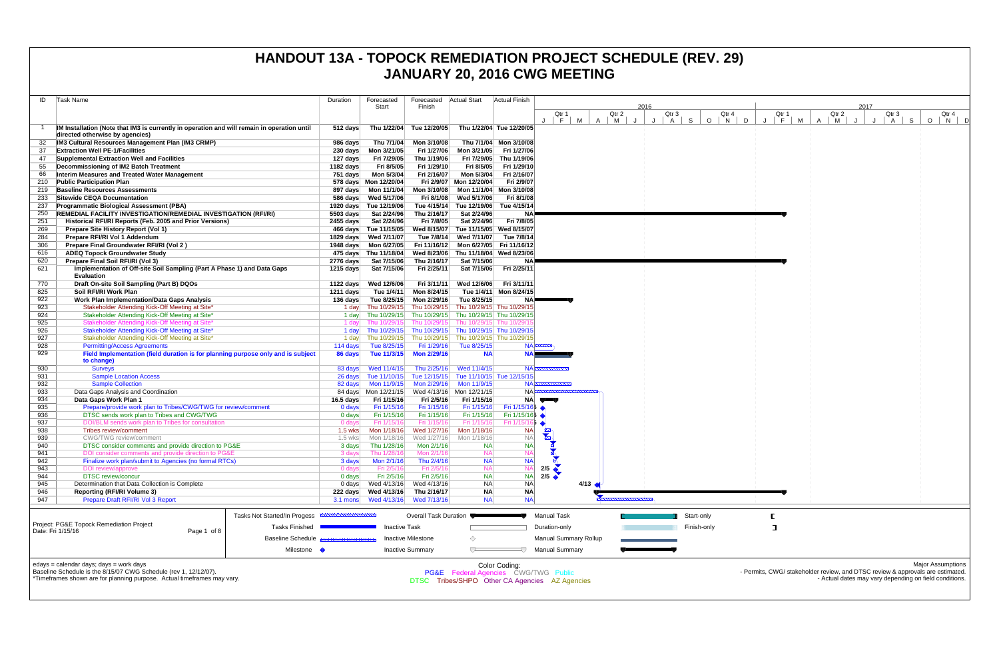| ID         | Task Name                                                                                                                      | Duration                | Forecasted                             | Forecasted              | <b>Actual Start</b>                                                | <b>Actual Finish</b>       |                                                      |      |                     |      |                  |                      |                                                                                |                |   |                  |      |                                                        |         |                          |  |
|------------|--------------------------------------------------------------------------------------------------------------------------------|-------------------------|----------------------------------------|-------------------------|--------------------------------------------------------------------|----------------------------|------------------------------------------------------|------|---------------------|------|------------------|----------------------|--------------------------------------------------------------------------------|----------------|---|------------------|------|--------------------------------------------------------|---------|--------------------------|--|
|            |                                                                                                                                |                         | Start                                  | Finish                  |                                                                    |                            |                                                      |      |                     | 2016 |                  |                      |                                                                                |                |   |                  | 2017 |                                                        |         |                          |  |
|            |                                                                                                                                |                         |                                        |                         |                                                                    |                            | Qtr 1<br>J F M                                       |      | Qtr 2<br>$A \mid M$ |      | Qtr 3<br>$A$ $S$ | Qtr 4<br>$O$   N   D | Qtr 1<br>$J \mid F \mid$                                                       | M <sub>1</sub> | A | Qtr 2<br>M<br>J. |      | Qtr 3                                                  | $\circ$ | Qtr 4<br>$N$ $D$         |  |
|            | IM Installation (Note that IM3 is currently in operation and will remain in operation until<br>directed otherwise by agencies) | 512 days                | Thu 1/22/04                            | Tue 12/20/05            |                                                                    | Thu 1/22/04 Tue 12/20/05   |                                                      |      |                     | J    |                  |                      |                                                                                |                |   |                  |      | A S                                                    |         |                          |  |
|            | IM3 Cultural Resources Management Plan (IM3 CRMP)                                                                              | 986 days                | Thu 7/1/04                             | Mon 3/10/08             |                                                                    | Thu 7/1/04 Mon 3/10/08     |                                                      |      |                     |      |                  |                      |                                                                                |                |   |                  |      |                                                        |         |                          |  |
| 37         | <b>Extraction Well PE-1/Facilities</b>                                                                                         |                         |                                        | Fri 1/27/06             |                                                                    | Mon 3/21/05 Fri 1/27/06    |                                                      |      |                     |      |                  |                      |                                                                                |                |   |                  |      |                                                        |         |                          |  |
| 47         | Supplemental Extraction Well and Facilities                                                                                    | 127 days                | Fri 7/29/05                            | Thu 1/19/06             | Fri 7/29/05                                                        | Thu 1/19/06                |                                                      |      |                     |      |                  |                      |                                                                                |                |   |                  |      |                                                        |         |                          |  |
| 55         | Decommissioning of IM2 Batch Treatment                                                                                         | 1182 days               | Fri 8/5/05                             | Fri 1/29/10             | Fri 8/5/05                                                         | Fri 1/29/10                |                                                      |      |                     |      |                  |                      |                                                                                |                |   |                  |      |                                                        |         |                          |  |
| 66         | Interim Measures and Treated Water Management                                                                                  | 751 days                | Mon 5/3/04                             | Fri 2/16/07             | Mon 5/3/04                                                         | Fri 2/16/07                |                                                      |      |                     |      |                  |                      |                                                                                |                |   |                  |      |                                                        |         |                          |  |
|            | 210 Public Participation Plan                                                                                                  |                         | 578 days  Mon 12/20/04                 |                         | Fri 2/9/07 Mon 12/20/04                                            | Fri 2/9/07                 |                                                      |      |                     |      |                  |                      |                                                                                |                |   |                  |      |                                                        |         |                          |  |
|            | 219 Baseline Resources Assessments                                                                                             |                         |                                        | Mon 3/10/08             |                                                                    | Mon 11/1/04 Mon 3/10/08    |                                                      |      |                     |      |                  |                      |                                                                                |                |   |                  |      |                                                        |         |                          |  |
| 233        | Sitewide CEQA Documentation                                                                                                    |                         |                                        | Fri 8/1/08              | Wed 5/17/06                                                        | Fri 8/1/08                 |                                                      |      |                     |      |                  |                      |                                                                                |                |   |                  |      |                                                        |         |                          |  |
| 237        | <b>Programmatic Biological Assessment (PBA)</b>                                                                                |                         | 1920 days Tue 12/19/06                 | Tue 4/15/14             | Tue 12/19/06                                                       | Tue 4/15/14                |                                                      |      |                     |      |                  |                      |                                                                                |                |   |                  |      |                                                        |         |                          |  |
| 250        | <b>REMEDIAL FACILITY INVESTIGATION/REMEDIAL INVESTIGATION (RFI/RI)</b>                                                         | 5503 days               | Sat 2/24/96                            | Thu 2/16/17             | Sat 2/24/96                                                        | <b>NA</b>                  |                                                      |      |                     |      |                  |                      |                                                                                |                |   |                  |      |                                                        |         |                          |  |
| 251        | Historical RFI/RI Reports (Feb. 2005 and Prior Versions)                                                                       | 2455 days               | Sat 2/24/96                            | Fri 7/8/05              | Sat 2/24/96                                                        | Fri 7/8/05                 |                                                      |      |                     |      |                  |                      |                                                                                |                |   |                  |      |                                                        |         |                          |  |
| 269        | Prepare Site History Report (Vol 1)                                                                                            |                         | 466 days Tue 11/15/05                  | Wed 8/15/07             | Tue 11/15/05 Wed 8/15/07                                           |                            |                                                      |      |                     |      |                  |                      |                                                                                |                |   |                  |      |                                                        |         |                          |  |
| 284        | Prepare RFI/RI Vol 1 Addendum                                                                                                  |                         | 1829 days Wed 7/11/07                  | Tue 7/8/14              | Wed 7/11/07                                                        | Tue 7/8/14                 |                                                      |      |                     |      |                  |                      |                                                                                |                |   |                  |      |                                                        |         |                          |  |
| 306        | Prepare Final Groundwater RFI/RI (Vol 2)                                                                                       |                         | 1948 days    Mon 6/27/05               | Fri 11/16/12            |                                                                    | Mon 6/27/05 Fri 11/16/12   |                                                      |      |                     |      |                  |                      |                                                                                |                |   |                  |      |                                                        |         |                          |  |
| 616        | <b>ADEQ Topock Groundwater Study</b>                                                                                           |                         | 475 days Thu 11/18/04                  | Wed 8/23/06             |                                                                    | Thu 11/18/04 Wed 8/23/06   |                                                      |      |                     |      |                  |                      |                                                                                |                |   |                  |      |                                                        |         |                          |  |
| 620        | Prepare Final Soil RFI/RI (Vol 3)                                                                                              | 2776 days               | Sat 7/15/06                            | Thu 2/16/17             | Sat 7/15/06                                                        | NA                         |                                                      |      |                     |      |                  |                      |                                                                                |                |   |                  |      |                                                        |         |                          |  |
| 621        | Implementation of Off-site Soil Sampling (Part A Phase 1) and Data Gaps<br><b>Evaluation</b>                                   | 1215 days               | Sat 7/15/06                            | Fri 2/25/11             | Sat 7/15/06                                                        | Fri 2/25/11                |                                                      |      |                     |      |                  |                      |                                                                                |                |   |                  |      |                                                        |         |                          |  |
| 770        | Draft On-site Soil Sampling (Part B) DQOs                                                                                      | 1122 days               | Wed 12/6/06                            | Fri 3/11/11             | Wed 12/6/06                                                        | Fri 3/11/11                |                                                      |      |                     |      |                  |                      |                                                                                |                |   |                  |      |                                                        |         |                          |  |
| 825        | Soil RFI/RI Work Plan                                                                                                          | 1211 days               | Tue 1/4/11                             | Mon 8/24/15             |                                                                    | Tue 1/4/11 Mon 8/24/15     |                                                      |      |                     |      |                  |                      |                                                                                |                |   |                  |      |                                                        |         |                          |  |
| 922        | Work Plan Implementation/Data Gaps Analysis                                                                                    | 136 days                | Tue 8/25/15                            | Mon 2/29/16             | Tue 8/25/15                                                        | NA≣                        |                                                      |      |                     |      |                  |                      |                                                                                |                |   |                  |      |                                                        |         |                          |  |
| 923        | Stakeholder Attending Kick-Off Meeting at Site*                                                                                |                         |                                        |                         | 1 day Thu 10/29/15 Thu 10/29/15 Thu 10/29/15 Thu 10/29/15          |                            |                                                      |      |                     |      |                  |                      |                                                                                |                |   |                  |      |                                                        |         |                          |  |
| 924        | Stakeholder Attending Kick-Off Meeting at Site*                                                                                | 1 day                   |                                        |                         | Thu 10/29/15 Thu 10/29/15 Thu 10/29/15 Thu 10/29/15                |                            |                                                      |      |                     |      |                  |                      |                                                                                |                |   |                  |      |                                                        |         |                          |  |
| 925        | Stakeholder Attending Kick-Off Meeting at Site*                                                                                | 1 day                   | Thu 10/29/15                           |                         | Thu 10/29/15 Thu 10/29/15 Thu 10/29/1                              |                            |                                                      |      |                     |      |                  |                      |                                                                                |                |   |                  |      |                                                        |         |                          |  |
| 926        | Stakeholder Attending Kick-Off Meeting at Site*                                                                                | 1 day                   |                                        |                         | Thu 10/29/15 Thu 10/29/15 Thu 10/29/15 Thu 10/29/15                |                            |                                                      |      |                     |      |                  |                      |                                                                                |                |   |                  |      |                                                        |         |                          |  |
| 927<br>928 | Stakeholder Attending Kick-Off Meeting at Site*<br><b>Permitting/Access Agreements</b>                                         | 1 day<br>114 days       | Tue 8/25/15                            | Fri 1/29/16             | Thu 10/29/15 Thu 10/29/15 Thu 10/29/15 Thu 10/29/15<br>Tue 8/25/15 |                            | <b>NA</b>                                            |      |                     |      |                  |                      |                                                                                |                |   |                  |      |                                                        |         |                          |  |
| 929        | Field Implementation (field duration is for planning purpose only and is subject                                               | 86 days                 | Tue 11/3/15                            | <b>Mon 2/29/16</b>      | <b>NA</b>                                                          | <b>NAL</b>                 |                                                      |      |                     |      |                  |                      |                                                                                |                |   |                  |      |                                                        |         |                          |  |
|            | to change)                                                                                                                     |                         |                                        |                         |                                                                    |                            |                                                      |      |                     |      |                  |                      |                                                                                |                |   |                  |      |                                                        |         |                          |  |
| 930        | <b>Surveys</b>                                                                                                                 | 83 days                 | Wed 11/4/15                            | Thu 2/25/16             | Wed 11/4/15                                                        |                            | <b>NA EXECUTIVE CONT</b>                             |      |                     |      |                  |                      |                                                                                |                |   |                  |      |                                                        |         |                          |  |
| 931        | <b>Sample Location Access</b><br><b>Sample Collection</b>                                                                      |                         |                                        |                         | 26 days Tue 11/10/15 Tue 12/15/15 Tue 11/10/15 Tue 12/15/15        | $NA \equiv$                |                                                      |      |                     |      |                  |                      |                                                                                |                |   |                  |      |                                                        |         |                          |  |
| 932<br>933 | Data Gaps Analysis and Coordination                                                                                            | 82 days                 | Mon 11/9/15<br>84 days    Mon 12/21/15 | Mon 2/29/16             | Mon 11/9/15<br>Wed 4/13/16 Mon 12/21/15                            | <b>NAR</b>                 |                                                      |      |                     |      |                  |                      |                                                                                |                |   |                  |      |                                                        |         |                          |  |
| 934        | Data Gaps Work Plan 1                                                                                                          | 16.5 days               | Fri 1/15/16                            | Fri 2/5/16              | Fri 1/15/16                                                        |                            | NA UTU                                               |      |                     |      |                  |                      |                                                                                |                |   |                  |      |                                                        |         |                          |  |
| 935        | Prepare/provide work plan to Tribes/CWG/TWG for review/comment                                                                 | 0 days                  | Fri 1/15/16                            | Fri 1/15/16             | Fri 1/15/16                                                        | Fri $1/15/16$              |                                                      |      |                     |      |                  |                      |                                                                                |                |   |                  |      |                                                        |         |                          |  |
| 936        | DTSC sends work plan to Tribes and CWG/TWG                                                                                     | 0 days                  | Fri 1/15/16                            | Fri 1/15/16             | Fri 1/15/16                                                        | Fri $1/15/165$ $\triangle$ |                                                      |      |                     |      |                  |                      |                                                                                |                |   |                  |      |                                                        |         |                          |  |
| 937        | DOI/BLM sends work plan to Tribes for consultation                                                                             | 0 days                  | Fri 1/15/16                            | Fri 1/15/16             | Fri 1/15/16                                                        | Fri 1/15/16 <b>5 ♦</b>     |                                                      |      |                     |      |                  |                      |                                                                                |                |   |                  |      |                                                        |         |                          |  |
| 938        | Tribes review/comment                                                                                                          | 1.5 wks                 | Mon 1/18/16                            | Wed 1/27/16             | Mon 1/18/16                                                        | <b>NA</b>                  |                                                      |      |                     |      |                  |                      |                                                                                |                |   |                  |      |                                                        |         |                          |  |
| 939        | <b>CWG/TWG</b> review/comment                                                                                                  | $1.5$ wks               | Mon 1/18/16                            | Wed 1/27/16             | Mon 1/18/16                                                        | <b>NA</b>                  |                                                      |      |                     |      |                  |                      |                                                                                |                |   |                  |      |                                                        |         |                          |  |
| 940        | DTSC consider comments and provide direction to PG&E                                                                           | 3 days                  | Thu 1/28/16                            | Mon 2/1/16              | <b>NA</b>                                                          | <b>NA</b>                  |                                                      |      |                     |      |                  |                      |                                                                                |                |   |                  |      |                                                        |         |                          |  |
| 941        | DOI consider comments and provide direction to PG&E                                                                            | 3 days                  | Thu 1/28/16                            | Mon 2/1/16              | <b>NA</b>                                                          |                            | $\begin{array}{c}\n 2/5 \\ \hline\n 2\n \end{array}$ |      |                     |      |                  |                      |                                                                                |                |   |                  |      |                                                        |         |                          |  |
| 942        | Finalize work plan/submit to Agencies (no formal RTCs)                                                                         | 3 days                  | Mon 2/1/16                             | Thu 2/4/16              | <b>NA</b>                                                          | <b>NA</b>                  |                                                      |      |                     |      |                  |                      |                                                                                |                |   |                  |      |                                                        |         |                          |  |
| 943        | DOI review/approve                                                                                                             | 0 days                  | Fri 2/5/16                             | Fri 2/5/16              | <b>NA</b>                                                          | <b>NA</b>                  |                                                      |      |                     |      |                  |                      |                                                                                |                |   |                  |      |                                                        |         |                          |  |
| 944        | <b>DTSC</b> review/concur                                                                                                      | 0 days                  | Fri 2/5/16                             | Fri 2/5/16              | <b>NA</b>                                                          | <b>NA</b>                  | 2/5                                                  |      |                     |      |                  |                      |                                                                                |                |   |                  |      |                                                        |         |                          |  |
| 945<br>946 | Determination that Data Collection is Complete<br><b>Reporting (RFI/RI Volume 3)</b>                                           |                         |                                        | Wed 4/13/16             | <b>NA</b>                                                          | <b>NA</b><br><b>NA</b>     |                                                      | 4/13 |                     |      |                  |                      |                                                                                |                |   |                  |      |                                                        |         |                          |  |
| 947        | Prepare Draft RFI/RI Vol 3 Report                                                                                              |                         | 222 days Wed 4/13/16                   | Thu 2/16/17             | <b>NA</b><br><b>NA</b>                                             | <b>NA</b>                  |                                                      |      |                     |      |                  |                      |                                                                                |                |   |                  |      |                                                        |         |                          |  |
|            |                                                                                                                                |                         |                                        |                         |                                                                    |                            |                                                      |      |                     |      |                  |                      |                                                                                |                |   |                  |      |                                                        |         |                          |  |
|            | Tasks Not Started/In Progess                                                                                                   | ,,,,,,,,,,,,,,,,,,,,,,, |                                        | Overall Task Duration   |                                                                    |                            | <b>Manual Task</b>                                   |      |                     |      | Start-only       |                      |                                                                                |                |   |                  |      |                                                        |         |                          |  |
|            | Project: PG&E Topock Remediation Project<br><b>Tasks Finished</b>                                                              |                         | <b>Inactive Task</b>                   |                         |                                                                    |                            | Duration-only                                        |      |                     |      | Finish-only      |                      | ा                                                                              |                |   |                  |      |                                                        |         |                          |  |
|            | Date: Fri 1/15/16<br>Page 1 of 8<br><b>Baseline Schedule</b>                                                                   |                         |                                        | Inactive Milestone      | ◇                                                                  |                            | <b>Manual Summary Rollup</b>                         |      |                     |      |                  |                      |                                                                                |                |   |                  |      |                                                        |         |                          |  |
|            | Milestone •                                                                                                                    |                         |                                        | <b>Inactive Summary</b> | $\sqrt{}$                                                          | 47.                        | <b>Manual Summary</b>                                |      |                     |      |                  |                      |                                                                                |                |   |                  |      |                                                        |         |                          |  |
|            | edays = calendar days; days = work days                                                                                        |                         |                                        |                         |                                                                    |                            |                                                      |      |                     |      |                  |                      |                                                                                |                |   |                  |      |                                                        |         | <b>Major Assumptions</b> |  |
|            | Baseline Schedule is the 8/15/07 CWG Schedule (rev 1, 12/12/07).                                                               |                         |                                        |                         | <b>PG&amp;E</b> Federal Agencies CWG/TWG Public                    | Color Coding:              |                                                      |      |                     |      |                  |                      | - Permits, CWG/ stakeholder review, and DTSC review & approvals are estimated. |                |   |                  |      |                                                        |         |                          |  |
|            | *Timeframes shown are for planning purpose. Actual timeframes may vary.                                                        |                         |                                        | DTSC                    |                                                                    |                            | Tribes/SHPO Other CA Agencies AZ Agencies            |      |                     |      |                  |                      |                                                                                |                |   |                  |      | - Actual dates may vary depending on field conditions. |         |                          |  |
|            |                                                                                                                                |                         |                                        |                         |                                                                    |                            |                                                      |      |                     |      |                  |                      |                                                                                |                |   |                  |      |                                                        |         |                          |  |
|            |                                                                                                                                |                         |                                        |                         |                                                                    |                            |                                                      |      |                     |      |                  |                      |                                                                                |                |   |                  |      |                                                        |         |                          |  |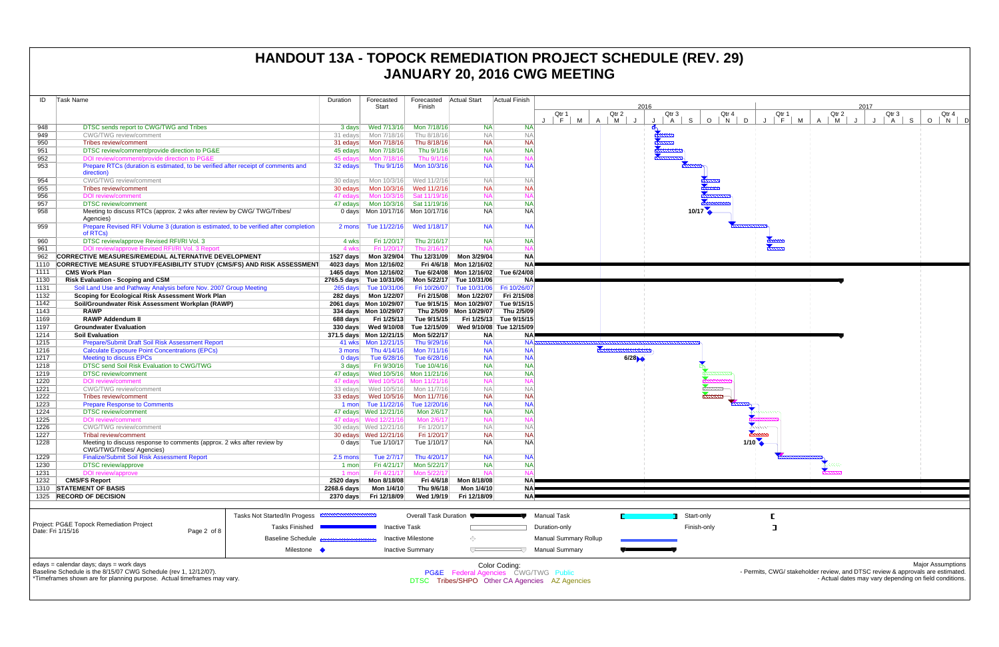| ID   | Task Name                                                                                           |                                                                                                  | Duration            | Forecasted               | Forecasted                                                                    | Actual Start                         | Actual Finish            |                                                                                              |                          |               |                                            |
|------|-----------------------------------------------------------------------------------------------------|--------------------------------------------------------------------------------------------------|---------------------|--------------------------|-------------------------------------------------------------------------------|--------------------------------------|--------------------------|----------------------------------------------------------------------------------------------|--------------------------|---------------|--------------------------------------------|
|      |                                                                                                     |                                                                                                  |                     | Start                    | Finish                                                                        |                                      |                          | Qtr 1                                                                                        | Qtr 2                    | 2016<br>Qtr 3 | Qtr 4                                      |
|      |                                                                                                     |                                                                                                  |                     |                          |                                                                               |                                      |                          | F<br>M                                                                                       | $\overline{A}$<br>M<br>J | $\mathsf{A}$  | S<br>$\circ$<br>$\overline{\phantom{a}}$ N |
| 948  | DTSC sends report to CWG/TWG and Tribes                                                             |                                                                                                  | 3 days              | Wed 7/13/16              | Mon 7/18/16                                                                   | <b>NA</b>                            | <b>NA</b>                |                                                                                              |                          |               |                                            |
| 949  | <b>CWG/TWG</b> review/comment                                                                       |                                                                                                  | 31 edays            | Mon 7/18/16              | Thu 8/18/16                                                                   | <b>NA</b>                            | <b>NA</b>                |                                                                                              |                          |               |                                            |
| 950  | Tribes review/comment                                                                               |                                                                                                  | 31 edays            | Mon 7/18/16              | Thu 8/18/16                                                                   | <b>NA</b>                            | <b>NA</b>                |                                                                                              |                          |               |                                            |
| 951  | DTSC review/comment/provide direction to PG&E                                                       | 45 edays                                                                                         | Mon 7/18/16         | Thu 9/1/16               | <b>NA</b>                                                                     | <b>NA</b>                            |                          |                                                                                              |                          |               |                                            |
| 952  | DOI review/comment/provide direction to PG&E                                                        |                                                                                                  | 45 edays            | Mon 7/18/16              | Thu 9/1/16                                                                    | <b>NA</b>                            | $N_A$                    |                                                                                              |                          |               |                                            |
| 953  | Prepare RTCs (duration is estimated, to be verified after receipt of comments and<br>direction)     |                                                                                                  | 32 edays            | Thu 9/1/16               | Mon 10/3/16                                                                   | <b>NA</b>                            | <b>NA</b>                |                                                                                              |                          |               |                                            |
| 954  | <b>CWG/TWG</b> review/comment                                                                       |                                                                                                  | 30 edays            | Mon 10/3/16              | Wed 11/2/16                                                                   | <b>NA</b>                            | <b>NA</b>                |                                                                                              |                          |               |                                            |
| 955  | Tribes review/comment                                                                               |                                                                                                  | 30 edays            | Mon 10/3/16              | Wed 11/2/16                                                                   | <b>NA</b>                            | <b>NA</b>                |                                                                                              |                          |               |                                            |
| 956  | <b>DOI</b> review/comment                                                                           |                                                                                                  | 47 edays            | Mon 10/3/16              | Sat 11/19/16                                                                  | <b>NA</b>                            | <b>NA</b>                |                                                                                              |                          |               |                                            |
| 957  | <b>DTSC</b> review/comment                                                                          |                                                                                                  | 47 edays            | Mon 10/3/16              | Sat 11/19/16                                                                  | <b>NA</b>                            | <b>NA</b>                |                                                                                              |                          |               |                                            |
| 958  | Meeting to discuss RTCs (approx. 2 wks after review by CWG/TWG/Tribes/<br>Agencies)                 |                                                                                                  |                     |                          |                                                                               | <b>NA</b>                            | NA                       |                                                                                              |                          |               |                                            |
| 959  | Prepare Revised RFI Volume 3 (duration is estimated, to be verified after completion<br>of RTCs)    |                                                                                                  | 2 mons              | Tue 11/22/16             | Wed 1/18/17                                                                   | <b>NA</b>                            | <b>NA</b>                |                                                                                              |                          |               |                                            |
| 960  | DTSC review/approve Revised RFI/RI Vol. 3                                                           |                                                                                                  | 4 wks               | Fri 1/20/17              | Thu 2/16/17                                                                   | <b>NA</b>                            | <b>NA</b>                |                                                                                              |                          |               |                                            |
| 961  | DOI review/approve Revised RFI/RI Vol. 3 Report                                                     |                                                                                                  | 4 wks               | Fri 1/20/17              | Thu 2/16/17                                                                   | <b>NA</b>                            | $N_A$                    |                                                                                              |                          |               |                                            |
| 962  | CORRECTIVE MEASURES/REMEDIAL ALTERNATIVE DEVELOPMENT                                                |                                                                                                  | 1527 days           |                          | Mon 3/29/04 Thu 12/31/09                                                      | Mon 3/29/04                          | <b>NA</b>                |                                                                                              |                          |               |                                            |
| 1110 | <b>CORRECTIVE MEASURE STUDY/FEASIBILITY STUDY (CMS/FS) AND RISK ASSESSMENT</b>                      |                                                                                                  |                     | 4023 days Mon 12/16/02   |                                                                               | Fri 4/6/18 Mon 12/16/02              | <b>NA</b>                |                                                                                              |                          |               |                                            |
| 1111 | <b>CMS Work Plan</b>                                                                                |                                                                                                  |                     | 1465 days Mon 12/16/02   |                                                                               | Tue 6/24/08 Mon 12/16/02 Tue 6/24/08 |                          |                                                                                              |                          |               |                                            |
| 1130 | <b>Risk Evaluation - Scoping and CSM</b>                                                            |                                                                                                  |                     | 2765.5 days Tue 10/31/06 | Mon 5/22/17                                                                   | Tue 10/31/06                         | NA <sup></sup>           |                                                                                              |                          |               |                                            |
| 1131 | Soil Land Use and Pathway Analysis before Nov. 2007 Group Meeting                                   |                                                                                                  |                     | 265 days Tue 10/31/06    | Fri 10/26/07                                                                  | Tue 10/31/06   Fri 10/26/07          |                          |                                                                                              |                          |               |                                            |
| 1132 | Scoping for Ecological Risk Assessment Work Plan                                                    |                                                                                                  |                     |                          | Fri 2/15/08                                                                   | Mon 1/22/07                          | Fri 2/15/08              |                                                                                              |                          |               |                                            |
| 1142 | Soil/Groundwater Risk Assessment Workplan (RAWP)                                                    |                                                                                                  |                     | 2061 days Mon 10/29/07   |                                                                               | Tue 9/15/15 Mon 10/29/07 Tue 9/15/15 |                          |                                                                                              |                          |               |                                            |
| 1143 | <b>RAWP</b>                                                                                         |                                                                                                  |                     | 334 days Mon 10/29/07    |                                                                               | Thu 2/5/09 Mon 10/29/07              | Thu 2/5/09               |                                                                                              |                          |               |                                            |
| 1169 | <b>RAWP Addendum II</b>                                                                             |                                                                                                  | 688 days            | Fri 1/25/13              | Tue 9/15/15                                                                   |                                      | Fri 1/25/13 Tue 9/15/15  |                                                                                              |                          |               |                                            |
| 1197 | <b>Groundwater Evaluation</b>                                                                       |                                                                                                  |                     | 330 days Wed 9/10/08     | Tue 12/15/09                                                                  |                                      | Wed 9/10/08 Tue 12/15/09 |                                                                                              |                          |               |                                            |
| 1214 |                                                                                                     |                                                                                                  |                     | 371.5 days Mon 12/21/15  | Mon 5/22/17                                                                   | <b>NA</b>                            | NA)                      |                                                                                              |                          |               |                                            |
|      | <b>Soil Evaluation</b>                                                                              |                                                                                                  |                     |                          |                                                                               | <b>NA</b>                            | <b>NA</b>                |                                                                                              |                          |               |                                            |
| 1215 | Prepare/Submit Draft Soil Risk Assessment Report                                                    |                                                                                                  |                     |                          | Thu 9/29/16                                                                   |                                      |                          |                                                                                              |                          |               |                                            |
| 1216 | <b>Calculate Exposure Point Concentrations (EPCs)</b>                                               |                                                                                                  | 3 mons              | Thu 4/14/16              | Mon 7/11/16                                                                   | <b>NA</b>                            | <b>NA</b>                |                                                                                              |                          |               |                                            |
| 1217 | <b>Meeting to discuss EPCs</b>                                                                      |                                                                                                  | 0 days              | Tue 6/28/16              | Tue 6/28/16                                                                   | <b>NA</b>                            | <b>NA</b>                |                                                                                              | 6/28                     |               |                                            |
| 1218 | DTSC send Soil Risk Evaluation to CWG/TWG                                                           |                                                                                                  | 3 days              | Fri 9/30/16              | Tue 10/4/16                                                                   | <b>NA</b>                            | <b>NA</b>                |                                                                                              |                          |               |                                            |
| 1219 | <b>DTSC</b> review/comment                                                                          |                                                                                                  | 47 edays            | Wed 10/5/16 Mon 11/21/16 |                                                                               | <b>NA</b>                            | <b>NA</b>                |                                                                                              |                          |               |                                            |
| 1220 | <b>DOI</b> review/comment                                                                           |                                                                                                  | 47 edays            | Wed 10/5/16              | Mon 11/21/16                                                                  | <b>NA</b>                            | $N_A$                    |                                                                                              |                          |               |                                            |
| 1221 | <b>CWG/TWG</b> review/comment                                                                       |                                                                                                  | 33 edays            | Wed 10/5/16              | Mon 11/7/16                                                                   | <b>NA</b>                            | <b>NA</b>                |                                                                                              |                          |               |                                            |
| 1222 | Tribes review/comment                                                                               |                                                                                                  |                     |                          | Mon 11/7/16                                                                   | <b>NA</b>                            | <b>NA</b>                |                                                                                              |                          |               | <u>kunna</u>                               |
| 1223 | <b>Prepare Response to Comments</b>                                                                 |                                                                                                  |                     | 1 mon Tue 11/22/16       | Tue 12/20/16                                                                  | <b>NA</b>                            | <b>NA</b>                |                                                                                              |                          |               |                                            |
| 1224 | <b>DTSC</b> review/comment                                                                          |                                                                                                  |                     | 47 edays  Wed 12/21/16   | Mon 2/6/17                                                                    | <b>NA</b>                            | <b>NA</b>                |                                                                                              |                          |               |                                            |
| 1225 | <b>DOI</b> review/comment                                                                           |                                                                                                  |                     | 47 edays Wed 12/21/16    | Mon 2/6/17                                                                    | <b>NA</b>                            | $N_A$                    |                                                                                              |                          |               |                                            |
| 1226 | <b>CWG/TWG</b> review/comment                                                                       |                                                                                                  |                     |                          | Fri 1/20/17                                                                   | <b>NA</b>                            | <b>NA</b>                |                                                                                              |                          |               |                                            |
| 1227 | Tribal review/comment                                                                               |                                                                                                  |                     | 30 edays  Wed 12/21/16   | Fri 1/20/17                                                                   | <b>NA</b>                            | <b>NA</b>                |                                                                                              |                          |               |                                            |
| 1228 | Meeting to discuss response to comments (approx. 2 wks after review by<br>CWG/TWG/Tribes/ Agencies) |                                                                                                  | 0 days              | Tue 1/10/17              | Tue 1/10/17                                                                   | <b>NA</b>                            | NA                       |                                                                                              |                          |               |                                            |
| 1229 | <b>Finalize/Submit Soil Risk Assessment Report</b>                                                  |                                                                                                  | $2.5$ mons          | Tue 2/7/17               | Thu 4/20/17                                                                   | <b>NA</b>                            | NA                       |                                                                                              |                          |               |                                            |
| 1230 | <b>DTSC</b> review/approve                                                                          |                                                                                                  | 1 mon               | Fri 4/21/17              | Mon 5/22/17                                                                   | <b>NA</b>                            | <b>NA</b>                |                                                                                              |                          |               |                                            |
| 1231 | DOI review/approve                                                                                  |                                                                                                  | 1 mon               | Fri 4/21/17              | Mon 5/22/17                                                                   | <b>NA</b>                            | NA                       |                                                                                              |                          |               |                                            |
| 1232 | <b>CMS/FS Report</b>                                                                                |                                                                                                  | 2520 days           | Mon 8/18/08              | Fri 4/6/18                                                                    | Mon 8/18/08                          | NA)                      |                                                                                              |                          |               |                                            |
| 1310 | <b>STATEMENT OF BASIS</b>                                                                           |                                                                                                  | 2268.6 days         | Mon 1/4/10               | Thu 9/6/18                                                                    | Mon 1/4/10                           | NA)                      |                                                                                              |                          |               |                                            |
| 1325 | <b>RECORD OF DECISION</b>                                                                           |                                                                                                  | 2370 days           | Fri 12/18/09             | Wed 1/9/19                                                                    | Fri 12/18/09                         | NA.                      |                                                                                              |                          |               |                                            |
|      | Project: PG&E Topock Remediation Project<br>Date: Fri 1/15/16<br>Page 2 of 8                        | Tasks Not Started/In Progess<br><b>Tasks Finished</b><br><b>Baseline Schedule</b><br>Milestone • | <b>MWWWWWWWWWWW</b> | <b>Inactive Task</b>     | Overall Task Duration<br><b>Inactive Milestone</b><br><b>Inactive Summary</b> | ◇<br>ᅮ                               |                          | <b>Manual Task</b><br>Duration-only<br><b>Manual Summary Rollup</b><br><b>Manual Summary</b> |                          |               | Start-only<br>Finish-only                  |
|      |                                                                                                     |                                                                                                  |                     |                          |                                                                               |                                      |                          |                                                                                              |                          |               |                                            |

edays = calendar days; days = work days



Baseline Schedule is the 8/15/07 CWG Schedule (rev 1, 12/12/07). \*Timeframes shown are for planning purpose. Actual timeframes may vary. Color Coding: PG&E Federal Agencies CWG/TWG Public

DTSC Tribes/SHPO Other CA Agencies AZ Agencies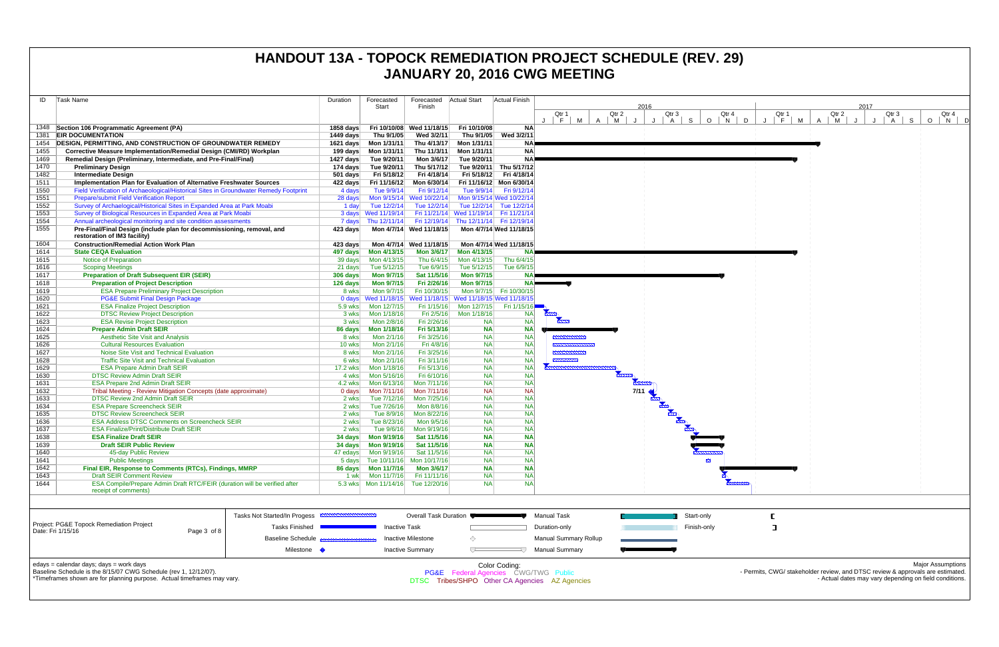| ID           | Task Name                                                                                                                                | Duration         | Forecasted                                                  | Forecasted                 | <b>Actual Start</b>                    | Actual Finish            |                                                |            |      |                              |             |           |                                                                                |                                                        |         |                          |
|--------------|------------------------------------------------------------------------------------------------------------------------------------------|------------------|-------------------------------------------------------------|----------------------------|----------------------------------------|--------------------------|------------------------------------------------|------------|------|------------------------------|-------------|-----------|--------------------------------------------------------------------------------|--------------------------------------------------------|---------|--------------------------|
|              |                                                                                                                                          |                  | Start                                                       | Finish                     |                                        |                          |                                                |            | 2016 |                              |             |           |                                                                                | 2017                                                   |         |                          |
|              |                                                                                                                                          |                  |                                                             |                            |                                        |                          | Qtr 1<br>$F \mid M$                            | Qtr 2      |      | Qtr 3                        | Qtr 4       | Qtr 1     | Qtr 2                                                                          | Qtr 3                                                  |         | Qtr 4                    |
|              | 1348 Section 106 Programmatic Agreement (PA)                                                                                             | 1858 days        |                                                             | Fri 10/10/08 Wed 11/18/15  | Fri 10/10/08                           | <b>NA</b>                |                                                | $A \mid M$ | J    | $J \mid A \mid S$            | $O$   N   D | J   F   M | M<br>A $\vert$<br>J                                                            | $A \mid S$                                             | $\circ$ | $N$ D                    |
|              | 1381 <b>EIR DOCUMENTATION</b>                                                                                                            | 1449 days        | Thu 9/1/05                                                  | Wed 3/2/11                 | Thu 9/1/05                             | Wed 3/2/11               |                                                |            |      |                              |             |           |                                                                                |                                                        |         |                          |
| 1454         | <b>DESIGN, PERMITTING, AND CONSTRUCTION OF GROUNDWATER REMEDY</b>                                                                        |                  | 1621 days    Mon 1/31/11                                    | Thu 4/13/17                | Mon 1/31/11                            | <b>NA</b>                |                                                |            |      |                              |             |           |                                                                                |                                                        |         |                          |
| 1455         | Corrective Measure Implementation/Remedial Design (CMI/RD) Workplan                                                                      |                  | 199 days    Mon 1/31/11                                     | Thu 11/3/11                | Mon 1/31/11                            | <b>NA</b>                |                                                |            |      |                              |             |           |                                                                                |                                                        |         |                          |
| 1469         | Remedial Design (Preliminary, Intermediate, and Pre-Final/Final)                                                                         | 1427 days        | Tue 9/20/11                                                 | Mon 3/6/17                 | Tue 9/20/11                            | <b>NA</b>                |                                                |            |      |                              |             |           |                                                                                |                                                        |         |                          |
| 1470         | <b>Preliminary Design</b>                                                                                                                | 174 days         | Tue 9/20/11                                                 | Thu 5/17/12                | Tue 9/20/11                            | Thu 5/17/12              |                                                |            |      |                              |             |           |                                                                                |                                                        |         |                          |
| 1482         | <b>Intermediate Design</b>                                                                                                               | $501$ days       | Fri 5/18/12                                                 | Fri 4/18/14                |                                        | Fri 5/18/12 Fri 4/18/14  |                                                |            |      |                              |             |           |                                                                                |                                                        |         |                          |
| 1511         | Implementation Plan for Evaluation of Alternative Freshwater Sources                                                                     | 422 days         | Fri 11/16/12                                                | Mon 6/30/14                |                                        | Fri 11/16/12 Mon 6/30/14 |                                                |            |      |                              |             |           |                                                                                |                                                        |         |                          |
| 1550         | Field Verification of Archaeological/Historical Sites in Groundwater Remedy Footprint                                                    | 4 days           | Tue 9/9/14                                                  | Fri 9/12/14                | Tue 9/9/14                             | Fri 9/12/14              |                                                |            |      |                              |             |           |                                                                                |                                                        |         |                          |
| 1551         | <b>Prepare/submit Field Verification Report</b>                                                                                          | 28 days          | Mon 9/15/14                                                 | Wed 10/22/14               |                                        | Mon 9/15/14 Wed 10/22/14 |                                                |            |      |                              |             |           |                                                                                |                                                        |         |                          |
| 1552<br>1553 | Survey of Archaelogical/Historical Sites in Expanded Area at Park Moabi<br>Survey of Biological Resources in Expanded Area at Park Moabi | 1 day            | Tue 12/2/14<br>3 days Wed 11/19/14                          | Tue 12/2/14                | Fri 11/21/14 Wed 11/19/14 Fri 11/21/14 | Tue 12/2/14 Tue 12/2/14  |                                                |            |      |                              |             |           |                                                                                |                                                        |         |                          |
| 1554         | Annual archeological monitoring and site condition assessments                                                                           |                  | 7 days Thu 12/11/14                                         |                            | Fri 12/19/14 Thu 12/11/14 Fri 12/19/14 |                          |                                                |            |      |                              |             |           |                                                                                |                                                        |         |                          |
| 1555         | Pre-Final/Final Design (include plan for decommissioning, removal, and                                                                   | 423 days         |                                                             | Mon 4/7/14 Wed 11/18/15    |                                        | Mon 4/7/14 Wed 11/18/15  |                                                |            |      |                              |             |           |                                                                                |                                                        |         |                          |
|              | restoration of IM3 facility)                                                                                                             |                  |                                                             |                            |                                        |                          |                                                |            |      |                              |             |           |                                                                                |                                                        |         |                          |
| 1604         | <b>Construction/Remedial Action Work Plan</b>                                                                                            | 423 days         |                                                             | Mon 4/7/14 Wed 11/18/15    |                                        | Mon 4/7/14 Wed 11/18/15  |                                                |            |      |                              |             |           |                                                                                |                                                        |         |                          |
| 1614         | <b>State CEQA Evaluation</b>                                                                                                             | 497 days         | Mon 4/13/15                                                 | <b>Mon 3/6/17</b>          | Mon 4/13/15                            |                          |                                                |            |      |                              |             |           |                                                                                |                                                        |         |                          |
| 1615         | Notice of Preparation                                                                                                                    | 39 days          | Mon 4/13/15                                                 | Thu 6/4/15                 | Mon 4/13/15                            | Thu 6/4/15               |                                                |            |      |                              |             |           |                                                                                |                                                        |         |                          |
| 1616         | <b>Scoping Meetings</b>                                                                                                                  | 21 days          | Tue 5/12/15                                                 | Tue 6/9/15                 | Tue 5/12/15                            | Tue 6/9/15               |                                                |            |      |                              |             |           |                                                                                |                                                        |         |                          |
| 1617         | <b>Preparation of Draft Subsequent EIR (SEIR)</b>                                                                                        | 306 days         | <b>Mon 9/7/15</b>                                           | Sat 11/5/16                | <b>Mon 9/7/15</b>                      |                          |                                                |            |      |                              |             |           |                                                                                |                                                        |         |                          |
| 1618         | <b>Preparation of Project Description</b>                                                                                                | 126 days         | <b>Mon 9/7/15</b>                                           | Fri 2/26/16                | <b>Mon 9/7/15</b>                      | NA≣                      |                                                |            |      |                              |             |           |                                                                                |                                                        |         |                          |
| 1619<br>1620 | <b>ESA Prepare Preliminary Project Description</b><br><b>PG&amp;E Submit Final Design Package</b>                                        | 8 wks            | Mon 9/7/15<br>0 days Wed 11/18/15                           | Fri 10/30/15               | Wed 11/18/15 Wed 11/18/15 Wed 11/18/15 | Mon 9/7/15 Fri 10/30/15  |                                                |            |      |                              |             |           |                                                                                |                                                        |         |                          |
| 1621         | <b>ESA Finalize Project Description</b>                                                                                                  | $5.9$ wks        | Mon 12/7/15                                                 | Fri 1/15/16                | Mon 12/7/15                            | Fri $1/15/16$            |                                                |            |      |                              |             |           |                                                                                |                                                        |         |                          |
| 1622         | <b>DTSC Review Project Description</b>                                                                                                   | 3 wks            | Mon 1/18/16                                                 | Fri 2/5/16                 | Mon 1/18/16                            | <b>NA</b>                | $\overline{m}$                                 |            |      |                              |             |           |                                                                                |                                                        |         |                          |
| 1623         | <b>ESA Revise Project Description</b>                                                                                                    | 3 wks            | Mon 2/8/16                                                  | Fri 2/26/16                | <b>NA</b>                              | <b>NA</b>                | $\frac{1}{2}$                                  |            |      |                              |             |           |                                                                                |                                                        |         |                          |
| 1624         | <b>Prepare Admin Draft SEIR</b>                                                                                                          | 86 days          | Mon 1/18/16                                                 | Fri 5/13/16                | <b>NA</b>                              | <b>NA</b>                |                                                |            |      |                              |             |           |                                                                                |                                                        |         |                          |
| 1625         | <b>Aesthetic Site Visit and Analysis</b>                                                                                                 | 8 wks            | Mon 2/1/16                                                  | Fri 3/25/16                | <b>NA</b>                              | <b>NA</b>                | <b>MWWWWW</b>                                  |            |      |                              |             |           |                                                                                |                                                        |         |                          |
| 1626         | <b>Cultural Resources Evaluation</b>                                                                                                     | 10 wks           | Mon 2/1/16                                                  | Fri 4/8/16                 | <b>NA</b>                              | <b>NA</b>                | <b>MANACE</b>                                  |            |      |                              |             |           |                                                                                |                                                        |         |                          |
| 1627         | Noise Site Visit and Technical Evaluation                                                                                                | 8 wks            | Mon 2/1/16                                                  | Fri 3/25/16                | <b>NA</b>                              | <b>NA</b>                | <b>MANAHAMA</b>                                |            |      |                              |             |           |                                                                                |                                                        |         |                          |
| 1628         | <b>Traffic Site Visit and Technical Evaluation</b>                                                                                       | 6 wks            | Mon 2/1/16                                                  | Fri 3/11/16                | <b>NA</b>                              | <b>NA</b>                |                                                |            |      |                              |             |           |                                                                                |                                                        |         |                          |
| 1629         | <b>ESA Prepare Admin Draft SEIR</b>                                                                                                      | 17.2 wks         | Mon 1/18/16                                                 | Fri 5/13/16                | <b>NA</b>                              | <b>NA</b>                |                                                |            |      |                              |             |           |                                                                                |                                                        |         |                          |
| 1630<br>1631 | <b>DTSC Review Admin Draft SEIR</b><br><b>ESA Prepare 2nd Admin Draft SEIR</b>                                                           | 4 wks<br>4.2 wks | Mon 5/16/16<br>Mon 6/13/16                                  | Fri 6/10/16<br>Mon 7/11/16 | <b>NA</b><br><b>NA</b>                 | <b>NA</b><br><b>NA</b>   |                                                |            |      |                              |             |           |                                                                                |                                                        |         |                          |
| 1632         | Tribal Meeting - Review Mitigation Concepts (date approximate)                                                                           | 0 days           | Mon 7/11/16                                                 | Mon 7/11/16                | <b>NA</b>                              | <b>NA</b>                |                                                |            |      | <b>CONTROLLER DISTRICTED</b> |             |           |                                                                                |                                                        |         |                          |
| 1633         | <b>DTSC Review 2nd Admin Draft SEIR</b>                                                                                                  | 2 wks            | Tue 7/12/16                                                 | Mon 7/25/16                | <b>NA</b>                              | <b>NA</b>                |                                                |            |      |                              |             |           |                                                                                |                                                        |         |                          |
| 1634         | <b>ESA Prepare Screencheck SEIR</b>                                                                                                      | 2 wks            | Tue 7/26/16                                                 | Mon 8/8/16                 | <b>NA</b>                              | <b>NA</b>                |                                                |            |      |                              |             |           |                                                                                |                                                        |         |                          |
| 1635         | <b>DTSC Review Screencheck SEIR</b>                                                                                                      | 2 wks            | Tue 8/9/16                                                  | Mon 8/22/16                | <b>NA</b>                              | <b>NA</b>                |                                                |            |      |                              |             |           |                                                                                |                                                        |         |                          |
| 1636         | <b>ESA Address DTSC Comments on Screencheck SEIR</b>                                                                                     | 2 wks            | Tue 8/23/16                                                 | Mon 9/5/16                 | <b>NA</b>                              | <b>NA</b>                |                                                |            |      |                              |             |           |                                                                                |                                                        |         |                          |
| 1637         | <b>ESA Finalize/Print/Distribute Draft SEIR</b>                                                                                          | 2 wks            | Tue 9/6/16                                                  | Mon 9/19/16                | <b>NA</b>                              | <b>NA</b>                |                                                |            |      |                              |             |           |                                                                                |                                                        |         |                          |
| 1638         | <b>ESA Finalize Draft SEIR</b>                                                                                                           | 34 days          | Mon 9/19/16                                                 | Sat 11/5/16                | <b>NA</b>                              | <b>NA</b>                |                                                |            |      |                              |             |           |                                                                                |                                                        |         |                          |
| 1639<br>1640 | <b>Draft SEIR Public Review</b>                                                                                                          |                  |                                                             | Sat 11/5/16                | <b>NA</b><br><b>NA</b>                 | <b>NA</b>                |                                                |            |      |                              |             |           |                                                                                |                                                        |         |                          |
| 1641         | 45-day Public Review<br><b>Public Meetings</b>                                                                                           |                  | 47 edays    Mon 9/19/16<br>5 days Tue 10/11/16 Mon 10/17/16 | Sat 11/5/16                | <b>NA</b>                              | <b>NA</b><br><b>NA</b>   |                                                |            |      | $\mathbf{N}$                 |             |           |                                                                                |                                                        |         |                          |
| 1642         | Final EIR, Response to Comments (RTCs), Findings, MMRP                                                                                   |                  |                                                             | Mon 3/6/17                 | <b>NA</b>                              | <b>NA</b>                |                                                |            |      |                              |             |           |                                                                                |                                                        |         |                          |
| 1643         | <b>Draft SEIR Comment Review</b>                                                                                                         | 1 wk             | Mon 11/7/16                                                 | Fri 11/11/16               | <b>NA</b>                              | <b>NA</b>                |                                                |            |      |                              |             |           |                                                                                |                                                        |         |                          |
| 1644         | ESA Compile/Prepare Admin Draft RTC/FEIR (duration will be verified after                                                                |                  | 5.3 wks   Mon 11/14/16   Tue 12/20/16                       |                            | <b>NA</b>                              | <b>NA</b>                |                                                |            |      |                              |             |           |                                                                                |                                                        |         |                          |
|              | receipt of comments)                                                                                                                     |                  |                                                             |                            |                                        |                          |                                                |            |      |                              |             |           |                                                                                |                                                        |         |                          |
|              |                                                                                                                                          |                  |                                                             |                            |                                        |                          |                                                |            |      |                              |             |           |                                                                                |                                                        |         |                          |
|              |                                                                                                                                          |                  |                                                             |                            |                                        |                          |                                                |            |      |                              |             |           |                                                                                |                                                        |         |                          |
|              | Tasks Not Started/In Progess <b>CONSTRUCTION</b>                                                                                         |                  |                                                             | Overall Task Duration      |                                        |                          | <b>Manual Task</b>                             |            |      | Start-only                   |             |           |                                                                                |                                                        |         |                          |
|              | Project: PG&E Topock Remediation Project<br>Tasks Finished<br>Date: Fri 1/15/16<br>Page 3 of 8                                           |                  | <b>Inactive Task</b>                                        |                            |                                        |                          | Duration-only                                  |            |      | Finish-only                  |             | ा         |                                                                                |                                                        |         |                          |
|              | <b>Baseline Schedule</b>                                                                                                                 |                  |                                                             | Inactive Milestone         | ◇                                      |                          | <b>Manual Summary Rollup</b>                   |            |      |                              |             |           |                                                                                |                                                        |         |                          |
|              |                                                                                                                                          |                  |                                                             |                            |                                        |                          |                                                |            |      |                              |             |           |                                                                                |                                                        |         |                          |
|              | Milestone •                                                                                                                              |                  |                                                             | <b>Inactive Summary</b>    | $\sqrt{}$                              | 47.                      | <b>Manual Summary</b>                          |            |      |                              |             |           |                                                                                |                                                        |         |                          |
|              | edays = calendar days; days = work days                                                                                                  |                  |                                                             |                            |                                        | Color Coding:            |                                                |            |      |                              |             |           |                                                                                |                                                        |         | <b>Major Assumptions</b> |
|              | Baseline Schedule is the 8/15/07 CWG Schedule (rev 1, 12/12/07).                                                                         |                  |                                                             |                            | PG&E Federal Agencies CWG/TWG Public   |                          |                                                |            |      |                              |             |           | - Permits, CWG/ stakeholder review, and DTSC review & approvals are estimated. |                                                        |         |                          |
|              | *Timeframes shown are for planning purpose. Actual timeframes may vary.                                                                  |                  |                                                             |                            |                                        |                          | DTSC Tribes/SHPO Other CA Agencies AZ Agencies |            |      |                              |             |           |                                                                                | - Actual dates may vary depending on field conditions. |         |                          |
|              |                                                                                                                                          |                  |                                                             |                            |                                        |                          |                                                |            |      |                              |             |           |                                                                                |                                                        |         |                          |
|              |                                                                                                                                          |                  |                                                             |                            |                                        |                          |                                                |            |      |                              |             |           |                                                                                |                                                        |         |                          |